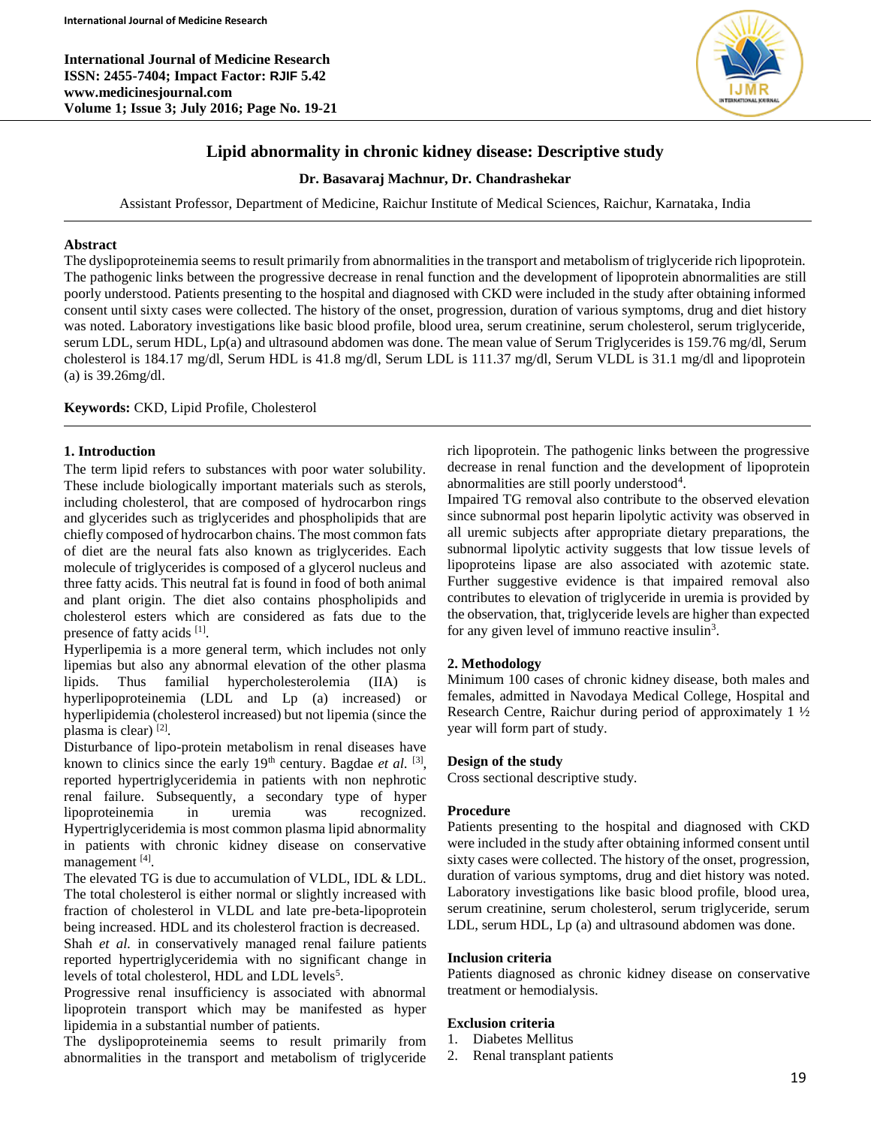**International Journal of Medicine Research ISSN: 2455-7404; Impact Factor: RJIF 5.42 www.medicinesjournal.com Volume 1; Issue 3; July 2016; Page No. 19-21**



# **Lipid abnormality in chronic kidney disease: Descriptive study**

## **Dr. Basavaraj Machnur, Dr. Chandrashekar**

Assistant Professor, Department of Medicine, Raichur Institute of Medical Sciences, Raichur, Karnataka, India

## **Abstract**

The dyslipoproteinemia seems to result primarily from abnormalities in the transport and metabolism of triglyceride rich lipoprotein. The pathogenic links between the progressive decrease in renal function and the development of lipoprotein abnormalities are still poorly understood. Patients presenting to the hospital and diagnosed with CKD were included in the study after obtaining informed consent until sixty cases were collected. The history of the onset, progression, duration of various symptoms, drug and diet history was noted. Laboratory investigations like basic blood profile, blood urea, serum creatinine, serum cholesterol, serum triglyceride, serum LDL, serum HDL, Lp(a) and ultrasound abdomen was done. The mean value of Serum Triglycerides is 159.76 mg/dl, Serum cholesterol is 184.17 mg/dl, Serum HDL is 41.8 mg/dl, Serum LDL is 111.37 mg/dl, Serum VLDL is 31.1 mg/dl and lipoprotein (a) is 39.26mg/dl.

### **Keywords:** CKD, Lipid Profile, Cholesterol

## **1. Introduction**

The term lipid refers to substances with poor water solubility. These include biologically important materials such as sterols, including cholesterol, that are composed of hydrocarbon rings and glycerides such as triglycerides and phospholipids that are chiefly composed of hydrocarbon chains. The most common fats of diet are the neural fats also known as triglycerides. Each molecule of triglycerides is composed of a glycerol nucleus and three fatty acids. This neutral fat is found in food of both animal and plant origin. The diet also contains phospholipids and cholesterol esters which are considered as fats due to the presence of fatty acids [1].

Hyperlipemia is a more general term, which includes not only lipemias but also any abnormal elevation of the other plasma lipids. Thus familial hypercholesterolemia (IIA) is hyperlipoproteinemia (LDL and Lp (a) increased) or hyperlipidemia (cholesterol increased) but not lipemia (since the plasma is clear) [2].

Disturbance of lipo-protein metabolism in renal diseases have known to clinics since the early  $19<sup>th</sup>$  century. Bagdae *et al.* <sup>[3]</sup>, reported hypertriglyceridemia in patients with non nephrotic renal failure. Subsequently, a secondary type of hyper lipoproteinemia in uremia was recognized. Hypertriglyceridemia is most common plasma lipid abnormality in patients with chronic kidney disease on conservative management [4].

The elevated TG is due to accumulation of VLDL, IDL & LDL. The total cholesterol is either normal or slightly increased with fraction of cholesterol in VLDL and late pre-beta-lipoprotein being increased. HDL and its cholesterol fraction is decreased.

Shah *et al.* in conservatively managed renal failure patients reported hypertriglyceridemia with no significant change in levels of total cholesterol, HDL and LDL levels<sup>5</sup>.

Progressive renal insufficiency is associated with abnormal lipoprotein transport which may be manifested as hyper lipidemia in a substantial number of patients.

The dyslipoproteinemia seems to result primarily from abnormalities in the transport and metabolism of triglyceride rich lipoprotein. The pathogenic links between the progressive decrease in renal function and the development of lipoprotein abnormalities are still poorly understood<sup>4</sup>.

Impaired TG removal also contribute to the observed elevation since subnormal post heparin lipolytic activity was observed in all uremic subjects after appropriate dietary preparations, the subnormal lipolytic activity suggests that low tissue levels of lipoproteins lipase are also associated with azotemic state. Further suggestive evidence is that impaired removal also contributes to elevation of triglyceride in uremia is provided by the observation, that, triglyceride levels are higher than expected for any given level of immuno reactive insulin<sup>3</sup>.

## **2. Methodology**

Minimum 100 cases of chronic kidney disease, both males and females, admitted in Navodaya Medical College, Hospital and Research Centre, Raichur during period of approximately 1 ½ year will form part of study.

### **Design of the study**

Cross sectional descriptive study.

### **Procedure**

Patients presenting to the hospital and diagnosed with CKD were included in the study after obtaining informed consent until sixty cases were collected. The history of the onset, progression, duration of various symptoms, drug and diet history was noted. Laboratory investigations like basic blood profile, blood urea, serum creatinine, serum cholesterol, serum triglyceride, serum LDL, serum HDL, Lp (a) and ultrasound abdomen was done.

### **Inclusion criteria**

Patients diagnosed as chronic kidney disease on conservative treatment or hemodialysis.

## **Exclusion criteria**

- 1. Diabetes Mellitus
- 2. Renal transplant patients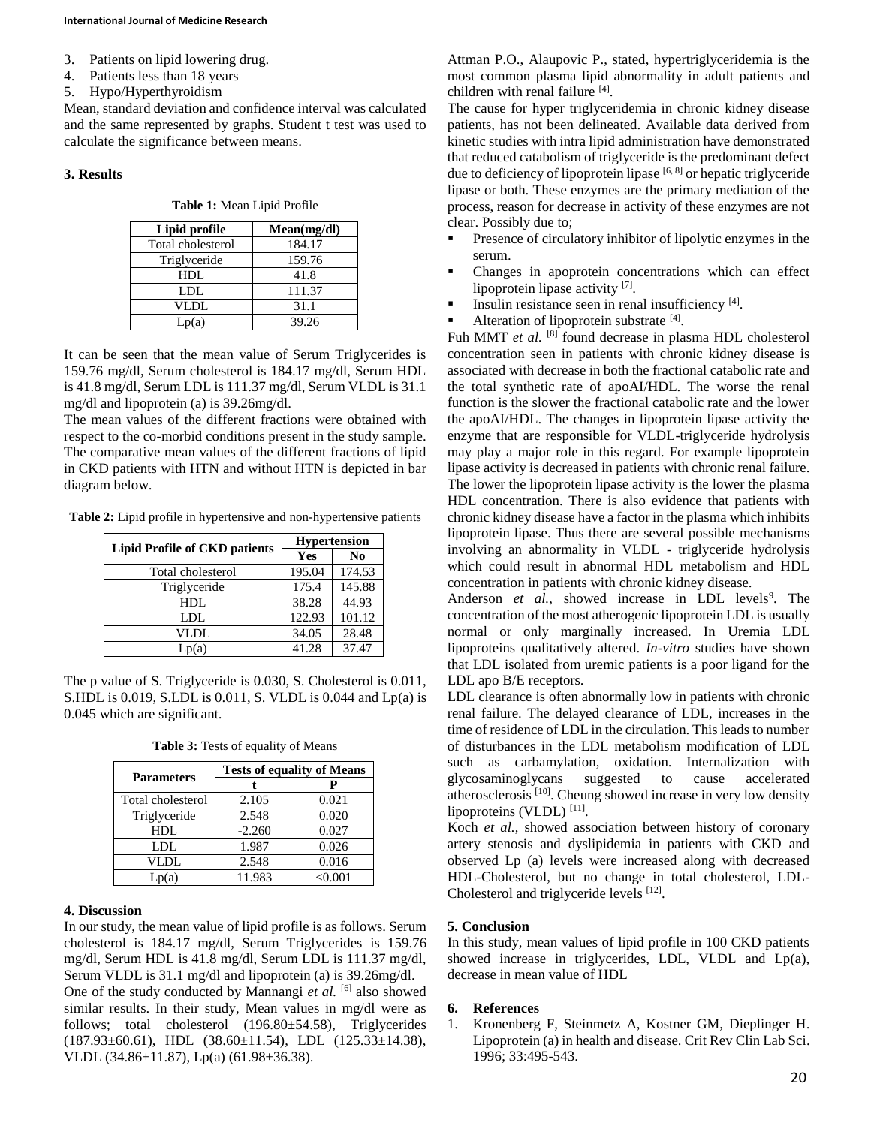- 3. Patients on lipid lowering drug.
- 4. Patients less than 18 years
- 5. Hypo/Hyperthyroidism

Mean, standard deviation and confidence interval was calculated and the same represented by graphs. Student t test was used to calculate the significance between means.

#### **3. Results**

|  |  | Table 1: Mean Lipid Profile |
|--|--|-----------------------------|
|  |  |                             |

| Lipid profile     | Mean(mg/dl) |  |
|-------------------|-------------|--|
| Total cholesterol | 184.17      |  |
| Triglyceride      | 159.76      |  |
| HDL.              | 41.8        |  |
| LDL.              | 111.37      |  |
| VLDL              | 31.1        |  |
| (a)               | 39.26       |  |

It can be seen that the mean value of Serum Triglycerides is 159.76 mg/dl, Serum cholesterol is 184.17 mg/dl, Serum HDL is 41.8 mg/dl, Serum LDL is 111.37 mg/dl, Serum VLDL is 31.1 mg/dl and lipoprotein (a) is 39.26mg/dl.

The mean values of the different fractions were obtained with respect to the co-morbid conditions present in the study sample. The comparative mean values of the different fractions of lipid in CKD patients with HTN and without HTN is depicted in bar diagram below.

**Table 2:** Lipid profile in hypertensive and non-hypertensive patients

| <b>Lipid Profile of CKD patients</b> | <b>Hypertension</b> |                |  |
|--------------------------------------|---------------------|----------------|--|
|                                      | Yes                 | N <sub>0</sub> |  |
| Total cholesterol                    | 195.04              | 174.53         |  |
| Triglyceride                         | 175.4               | 145.88         |  |
| HDL                                  | 38.28               | 44.93          |  |
| LDL.                                 | 122.93              | 101.12         |  |
| VLDL                                 | 34.05               | 28.48          |  |
| Lp(a)                                | 41.28               | 37.47          |  |

The p value of S. Triglyceride is 0.030, S. Cholesterol is 0.011, S.HDL is 0.019, S.LDL is 0.011, S. VLDL is 0.044 and Lp(a) is 0.045 which are significant.

| <b>Table 3:</b> Tests of equality of Means |
|--------------------------------------------|
|--------------------------------------------|

| <b>Parameters</b> | <b>Tests of equality of Means</b> |         |  |
|-------------------|-----------------------------------|---------|--|
|                   |                                   |         |  |
| Total cholesterol | 2.105                             | 0.021   |  |
| Triglyceride      | 2.548                             | 0.020   |  |
| HDL               | $-2.260$                          | 0.027   |  |
| LDL               | 1.987                             | 0.026   |  |
| VLDL              | 2.548                             | 0.016   |  |
| Lp(a)             | 11.983                            | < 0.001 |  |

#### **4. Discussion**

In our study, the mean value of lipid profile is as follows. Serum cholesterol is 184.17 mg/dl, Serum Triglycerides is 159.76 mg/dl, Serum HDL is 41.8 mg/dl, Serum LDL is 111.37 mg/dl, Serum VLDL is 31.1 mg/dl and lipoprotein (a) is 39.26mg/dl.

One of the study conducted by Mannangi et al. <sup>[6]</sup> also showed similar results. In their study, Mean values in mg/dl were as follows; total cholesterol (196.80±54.58), Triglycerides (187.93±60.61), HDL (38.60±11.54), LDL (125.33±14.38), VLDL (34.86±11.87), Lp(a) (61.98±36.38).

Attman P.O., Alaupovic P., stated, hypertriglyceridemia is the most common plasma lipid abnormality in adult patients and children with renal failure [4].

The cause for hyper triglyceridemia in chronic kidney disease patients, has not been delineated. Available data derived from kinetic studies with intra lipid administration have demonstrated that reduced catabolism of triglyceride is the predominant defect due to deficiency of lipoprotein lipase  $[6, 8]$  or hepatic triglyceride lipase or both. These enzymes are the primary mediation of the process, reason for decrease in activity of these enzymes are not clear. Possibly due to;

- **Presence of circulatory inhibitor of lipolytic enzymes in the** serum.
- Changes in apoprotein concentrations which can effect lipoprotein lipase activity [7].
- Insulin resistance seen in renal insufficiency  $[4]$ .
- Alteration of lipoprotein substrate  $[4]$ .

Fuh MMT *et al.* <sup>[8]</sup> found decrease in plasma HDL cholesterol concentration seen in patients with chronic kidney disease is associated with decrease in both the fractional catabolic rate and the total synthetic rate of apoAI/HDL. The worse the renal function is the slower the fractional catabolic rate and the lower the apoAI/HDL. The changes in lipoprotein lipase activity the enzyme that are responsible for VLDL-triglyceride hydrolysis may play a major role in this regard. For example lipoprotein lipase activity is decreased in patients with chronic renal failure. The lower the lipoprotein lipase activity is the lower the plasma HDL concentration. There is also evidence that patients with chronic kidney disease have a factor in the plasma which inhibits lipoprotein lipase. Thus there are several possible mechanisms involving an abnormality in VLDL - triglyceride hydrolysis which could result in abnormal HDL metabolism and HDL concentration in patients with chronic kidney disease.

Anderson et al., showed increase in LDL levels<sup>9</sup>. The concentration of the most atherogenic lipoprotein LDL is usually normal or only marginally increased. In Uremia LDL lipoproteins qualitatively altered. *In-vitro* studies have shown that LDL isolated from uremic patients is a poor ligand for the LDL apo B/E receptors.

LDL clearance is often abnormally low in patients with chronic renal failure. The delayed clearance of LDL, increases in the time of residence of LDL in the circulation. This leads to number of disturbances in the LDL metabolism modification of LDL such as carbamylation, oxidation. Internalization with glycosaminoglycans suggested to cause accelerated atherosclerosis<sup>[10]</sup>. Cheung showed increase in very low density lipoproteins (VLDL)<sup>[11]</sup>.

Koch *et al.*, showed association between history of coronary artery stenosis and dyslipidemia in patients with CKD and observed Lp (a) levels were increased along with decreased HDL-Cholesterol, but no change in total cholesterol, LDL-Cholesterol and triglyceride levels [12].

### **5. Conclusion**

In this study, mean values of lipid profile in 100 CKD patients showed increase in triglycerides, LDL, VLDL and Lp(a), decrease in mean value of HDL

### **6. References**

1. Kronenberg F, Steinmetz A, Kostner GM, Dieplinger H. Lipoprotein (a) in health and disease. Crit Rev Clin Lab Sci. 1996; 33:495-543.